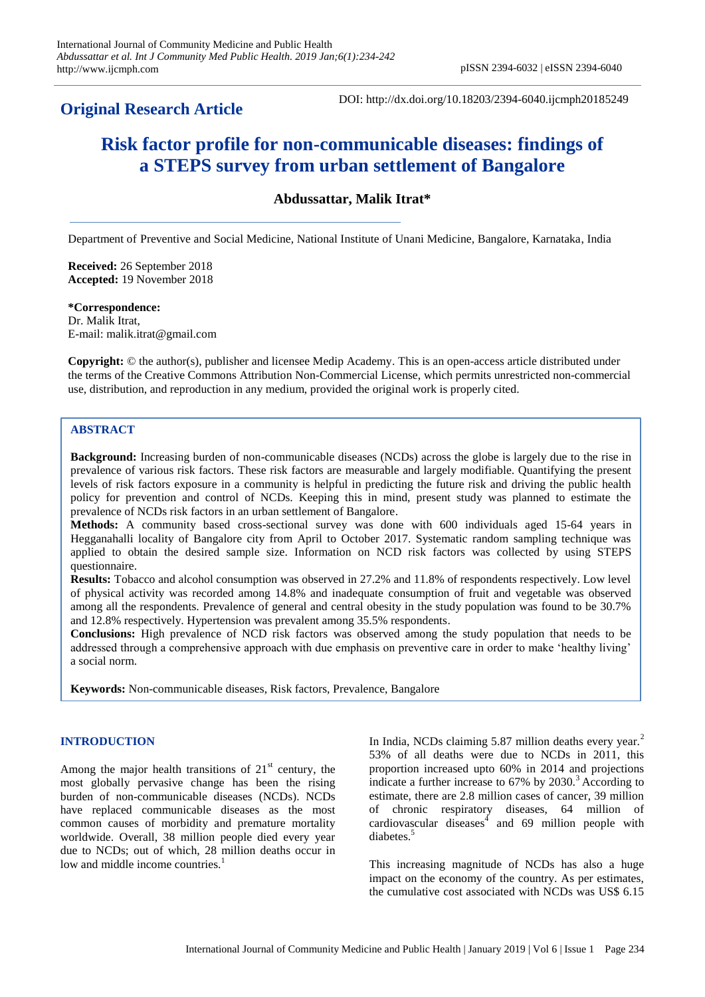# **Original Research Article**

DOI: http://dx.doi.org/10.18203/2394-6040.ijcmph20185249

# **Risk factor profile for non-communicable diseases: findings of a STEPS survey from urban settlement of Bangalore**

**Abdussattar, Malik Itrat\***

Department of Preventive and Social Medicine, National Institute of Unani Medicine, Bangalore, Karnataka, India

**Received:** 26 September 2018 **Accepted:** 19 November 2018

#### **\*Correspondence:**

Dr. Malik Itrat, E-mail: malik.itrat@gmail.com

**Copyright:** © the author(s), publisher and licensee Medip Academy. This is an open-access article distributed under the terms of the Creative Commons Attribution Non-Commercial License, which permits unrestricted non-commercial use, distribution, and reproduction in any medium, provided the original work is properly cited.

# **ABSTRACT**

**Background:** Increasing burden of non-communicable diseases (NCDs) across the globe is largely due to the rise in prevalence of various risk factors. These risk factors are measurable and largely modifiable. Quantifying the present levels of risk factors exposure in a community is helpful in predicting the future risk and driving the public health policy for prevention and control of NCDs. Keeping this in mind, present study was planned to estimate the prevalence of NCDs risk factors in an urban settlement of Bangalore.

**Methods:** A community based cross-sectional survey was done with 600 individuals aged 15-64 years in Hegganahalli locality of Bangalore city from April to October 2017. Systematic random sampling technique was applied to obtain the desired sample size. Information on NCD risk factors was collected by using STEPS questionnaire.

**Results:** Tobacco and alcohol consumption was observed in 27.2% and 11.8% of respondents respectively. Low level of physical activity was recorded among 14.8% and inadequate consumption of fruit and vegetable was observed among all the respondents. Prevalence of general and central obesity in the study population was found to be 30.7% and 12.8% respectively. Hypertension was prevalent among 35.5% respondents.

**Conclusions:** High prevalence of NCD risk factors was observed among the study population that needs to be addressed through a comprehensive approach with due emphasis on preventive care in order to make "healthy living" a social norm.

**Keywords:** Non-communicable diseases, Risk factors, Prevalence, Bangalore

#### **INTRODUCTION**

Among the major health transitions of  $21<sup>st</sup>$  century, the most globally pervasive change has been the rising burden of non-communicable diseases (NCDs). NCDs have replaced communicable diseases as the most common causes of morbidity and premature mortality worldwide. Overall, 38 million people died every year due to NCDs; out of which, 28 million deaths occur in low and middle income countries.<sup>1</sup>

In India, NCDs claiming 5.87 million deaths every year.<sup>2</sup> 53% of all deaths were due to NCDs in 2011, this proportion increased upto 60% in 2014 and projections indicate a further increase to  $67\%$  by  $2030.<sup>3</sup>$  According to estimate, there are 2.8 million cases of cancer, 39 million of chronic respiratory diseases, 64 million of cardiovascular diseases $\frac{4}{3}$  and 69 million people with diabetes.<sup>5</sup>

This increasing magnitude of NCDs has also a huge impact on the economy of the country. As per estimates, the cumulative cost associated with NCDs was US\$ 6.15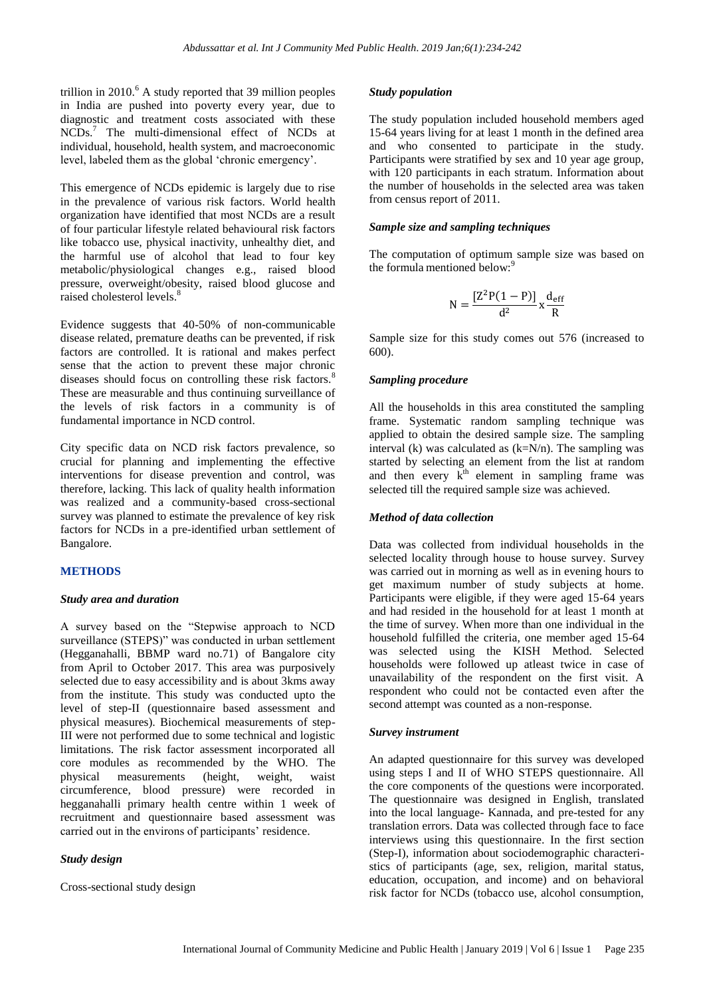trillion in  $2010<sup>6</sup>$  A study reported that 39 million peoples in India are pushed into poverty every year, due to diagnostic and treatment costs associated with these NCDs.<sup>7</sup> The multi-dimensional effect of NCDs at individual, household, health system, and macroeconomic level, labeled them as the global "chronic emergency".

This emergence of NCDs epidemic is largely due to rise in the prevalence of various risk factors. World health organization have identified that most NCDs are a result of four particular lifestyle related behavioural risk factors like tobacco use, physical inactivity, unhealthy diet, and the harmful use of alcohol that lead to four key metabolic/physiological changes e.g., raised blood pressure, overweight/obesity, raised blood glucose and raised cholesterol levels.<sup>8</sup>

Evidence suggests that 40-50% of non-communicable disease related, premature deaths can be prevented, if risk factors are controlled. It is rational and makes perfect sense that the action to prevent these major chronic diseases should focus on controlling these risk factors.<sup>8</sup> These are measurable and thus continuing surveillance of the levels of risk factors in a community is of fundamental importance in NCD control.

City specific data on NCD risk factors prevalence, so crucial for planning and implementing the effective interventions for disease prevention and control, was therefore, lacking. This lack of quality health information was realized and a community-based cross-sectional survey was planned to estimate the prevalence of key risk factors for NCDs in a pre-identified urban settlement of Bangalore.

#### **METHODS**

#### *Study area and duration*

A survey based on the "Stepwise approach to NCD surveillance (STEPS)" was conducted in urban settlement (Hegganahalli, BBMP ward no.71) of Bangalore city from April to October 2017. This area was purposively selected due to easy accessibility and is about 3kms away from the institute. This study was conducted upto the level of step-II (questionnaire based assessment and physical measures). Biochemical measurements of step-III were not performed due to some technical and logistic limitations. The risk factor assessment incorporated all core modules as recommended by the WHO. The physical measurements (height, weight, waist circumference, blood pressure) were recorded in hegganahalli primary health centre within 1 week of recruitment and questionnaire based assessment was carried out in the environs of participants' residence.

#### *Study design*

Cross-sectional study design

#### *Study population*

The study population included household members aged 15-64 years living for at least 1 month in the defined area and who consented to participate in the study. Participants were stratified by sex and 10 year age group, with 120 participants in each stratum. Information about the number of households in the selected area was taken from census report of 2011.

# *Sample size and sampling techniques*

The computation of optimum sample size was based on the formula mentioned below:<sup>9</sup>

$$
N=\frac{[Z^2P(1-P)]}{d^2}x\frac{d_{eff}}{R}
$$

Sample size for this study comes out 576 (increased to 600).

#### *Sampling procedure*

All the households in this area constituted the sampling frame. Systematic random sampling technique was applied to obtain the desired sample size. The sampling interval (k) was calculated as  $(k=N/n)$ . The sampling was started by selecting an element from the list at random and then every  $k<sup>th</sup>$  element in sampling frame was selected till the required sample size was achieved.

# *Method of data collection*

Data was collected from individual households in the selected locality through house to house survey. Survey was carried out in morning as well as in evening hours to get maximum number of study subjects at home. Participants were eligible, if they were aged 15-64 years and had resided in the household for at least 1 month at the time of survey. When more than one individual in the household fulfilled the criteria, one member aged 15-64 was selected using the KISH Method. Selected households were followed up atleast twice in case of unavailability of the respondent on the first visit. A respondent who could not be contacted even after the second attempt was counted as a non-response.

#### *Survey instrument*

An adapted questionnaire for this survey was developed using steps I and II of WHO STEPS questionnaire. All the core components of the questions were incorporated. The questionnaire was designed in English, translated into the local language- Kannada, and pre-tested for any translation errors. Data was collected through face to face interviews using this questionnaire. In the first section (Step-I), information about sociodemographic characteristics of participants (age, sex, religion, marital status, education, occupation, and income) and on behavioral risk factor for NCDs (tobacco use, alcohol consumption,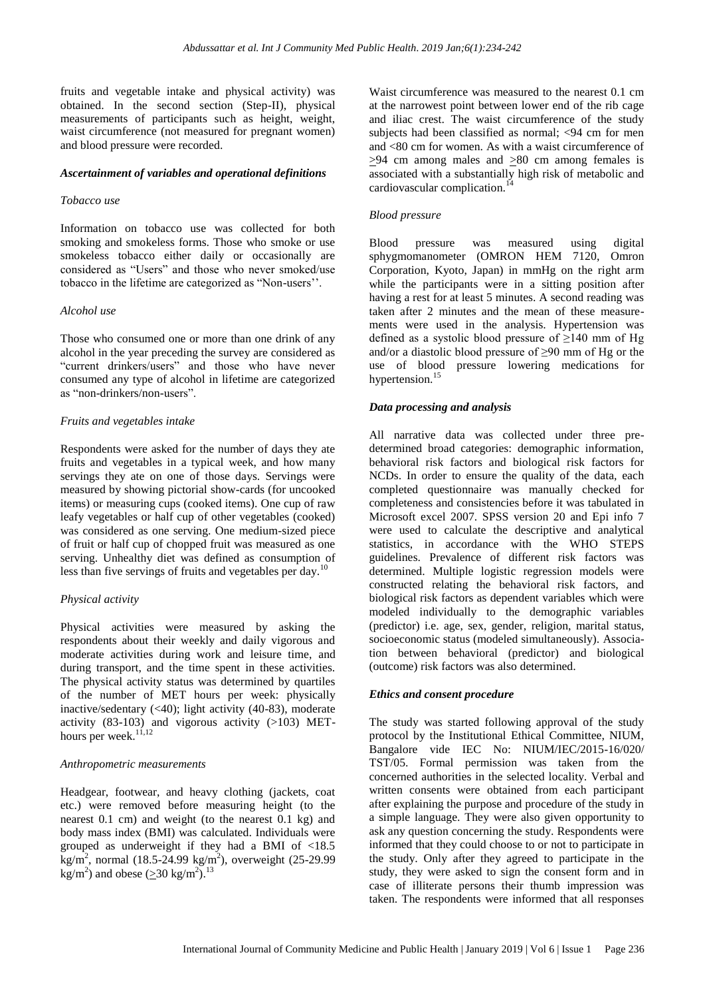fruits and vegetable intake and physical activity) was obtained. In the second section (Step-II), physical measurements of participants such as height, weight, waist circumference (not measured for pregnant women) and blood pressure were recorded.

#### *Ascertainment of variables and operational definitions*

#### *Tobacco use*

Information on tobacco use was collected for both smoking and smokeless forms. Those who smoke or use smokeless tobacco either daily or occasionally are considered as "Users" and those who never smoked/use tobacco in the lifetime are categorized as "Non-users"".

#### *Alcohol use*

Those who consumed one or more than one drink of any alcohol in the year preceding the survey are considered as "current drinkers/users" and those who have never consumed any type of alcohol in lifetime are categorized as "non-drinkers/non-users".

#### *Fruits and vegetables intake*

Respondents were asked for the number of days they ate fruits and vegetables in a typical week, and how many servings they ate on one of those days. Servings were measured by showing pictorial show-cards (for uncooked items) or measuring cups (cooked items). One cup of raw leafy vegetables or half cup of other vegetables (cooked) was considered as one serving. One medium-sized piece of fruit or half cup of chopped fruit was measured as one serving. Unhealthy diet was defined as consumption of less than five servings of fruits and vegetables per day.<sup>1</sup>

#### *Physical activity*

Physical activities were measured by asking the respondents about their weekly and daily vigorous and moderate activities during work and leisure time, and during transport, and the time spent in these activities. The physical activity status was determined by quartiles of the number of MET hours per week: physically inactive/sedentary (<40); light activity (40-83), moderate activity  $(83-103)$  and vigorous activity  $(>103)$  METhours per week. $^{13.57}$ 

#### *Anthropometric measurements*

Headgear, footwear, and heavy clothing (jackets, coat etc.) were removed before measuring height (to the nearest 0.1 cm) and weight (to the nearest 0.1 kg) and body mass index (BMI) was calculated. Individuals were grouped as underweight if they had a BMI of <18.5  $\text{kg/m}^2$ , normal (18.5-24.99 kg/m<sup>2</sup>), overweight (25-29.99 kg/m<sup>2</sup>) and obese ( $\geq$ 30 kg/m<sup>2</sup>).<sup>13</sup>

Waist circumference was measured to the nearest 0.1 cm at the narrowest point between lower end of the rib cage and iliac crest. The waist circumference of the study subjects had been classified as normal; <94 cm for men and <80 cm for women. As with a waist circumference of  $\geq$ 94 cm among males and  $\geq$ 80 cm among females is associated with a substantially high risk of metabolic and cardiovascular complication.<sup>14</sup>

#### *Blood pressure*

Blood pressure was measured using digital sphygmomanometer (OMRON HEM 7120, Omron Corporation, Kyoto, Japan) in mmHg on the right arm while the participants were in a sitting position after having a rest for at least 5 minutes. A second reading was taken after 2 minutes and the mean of these measurements were used in the analysis. Hypertension was defined as a systolic blood pressure of  $\geq$ 140 mm of Hg and/or a diastolic blood pressure of ≥90 mm of Hg or the use of blood pressure lowering medications for hypertension.<sup>15</sup>

#### *Data processing and analysis*

All narrative data was collected under three predetermined broad categories: demographic information, behavioral risk factors and biological risk factors for NCD<sub>s</sub>. In order to ensure the quality of the data, each completed questionnaire was manually checked for completeness and consistencies before it was tabulated in Microsoft excel 2007. SPSS version 20 and Epi info 7 were used to calculate the descriptive and analytical statistics, in accordance with the WHO STEPS guidelines. Prevalence of different risk factors was determined. Multiple logistic regression models were constructed relating the behavioral risk factors, and biological risk factors as dependent variables which were modeled individually to the demographic variables (predictor) i.e. age, sex, gender, religion, marital status, socioeconomic status (modeled simultaneously). Association between behavioral (predictor) and biological (outcome) risk factors was also determined.

#### *Ethics and consent procedure*

The study was started following approval of the study protocol by the Institutional Ethical Committee, NIUM, Bangalore vide IEC No: NIUM/IEC/2015-16/020/ TST/05. Formal permission was taken from the concerned authorities in the selected locality. Verbal and written consents were obtained from each participant after explaining the purpose and procedure of the study in a simple language. They were also given opportunity to ask any question concerning the study. Respondents were informed that they could choose to or not to participate in the study. Only after they agreed to participate in the study, they were asked to sign the consent form and in case of illiterate persons their thumb impression was taken. The respondents were informed that all responses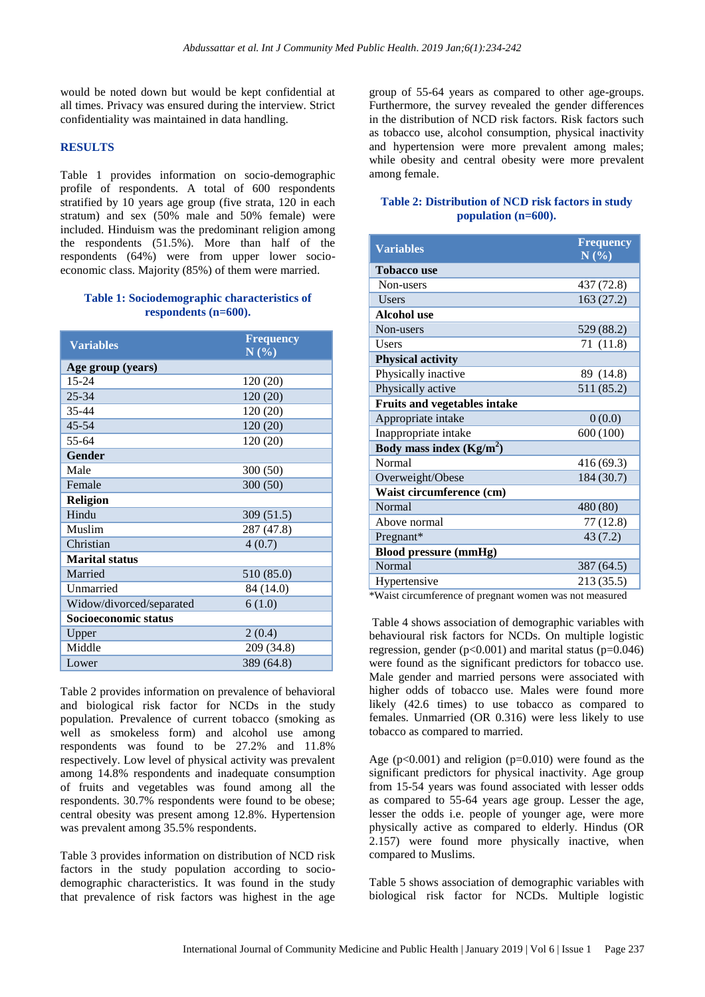would be noted down but would be kept confidential at all times. Privacy was ensured during the interview. Strict confidentiality was maintained in data handling.

# **RESULTS**

Table 1 provides information on socio-demographic profile of respondents. A total of 600 respondents stratified by 10 years age group (five strata, 120 in each stratum) and sex (50% male and 50% female) were included. Hinduism was the predominant religion among the respondents (51.5%). More than half of the respondents (64%) were from upper lower socioeconomic class. Majority (85%) of them were married.

#### **Table 1: Sociodemographic characteristics of respondents (n=600).**

| <b>Variables</b>         | <b>Frequency</b><br>N(%) |
|--------------------------|--------------------------|
| Age group (years)        |                          |
| $15 - 24$                | 120 (20)                 |
| $25 - 34$                | 120(20)                  |
| 35-44                    | 120 (20)                 |
| $45 - 54$                | 120 (20)                 |
| 55-64                    | 120 (20)                 |
| <b>Gender</b>            |                          |
| Male                     | 300(50)                  |
| Female                   | 300(50)                  |
| <b>Religion</b>          |                          |
| Hindu                    | 309 (51.5)               |
| Muslim                   | 287 (47.8)               |
| Christian                | 4(0.7)                   |
| <b>Marital status</b>    |                          |
| Married                  | 510 (85.0)               |
| Unmarried                | 84 (14.0)                |
| Widow/divorced/separated | 6(1.0)                   |
| Socioeconomic status     |                          |
| Upper                    | 2(0.4)                   |
| Middle                   | 209 (34.8)               |
| Lower                    | 389 (64.8)               |

Table 2 provides information on prevalence of behavioral and biological risk factor for NCDs in the study population. Prevalence of current tobacco (smoking as well as smokeless form) and alcohol use among respondents was found to be 27.2% and 11.8% respectively. Low level of physical activity was prevalent among 14.8% respondents and inadequate consumption of fruits and vegetables was found among all the respondents. 30.7% respondents were found to be obese; central obesity was present among 12.8%. Hypertension was prevalent among 35.5% respondents.

Table 3 provides information on distribution of NCD risk factors in the study population according to sociodemographic characteristics. It was found in the study that prevalence of risk factors was highest in the age

group of 55-64 years as compared to other age-groups. Furthermore, the survey revealed the gender differences in the distribution of NCD risk factors. Risk factors such as tobacco use, alcohol consumption, physical inactivity and hypertension were more prevalent among males; while obesity and central obesity were more prevalent among female.

# **Table 2: Distribution of NCD risk factors in study population (n=600).**

| <b>Variables</b>                    | <b>Frequency</b><br>N(%) |
|-------------------------------------|--------------------------|
| <b>Tobacco use</b>                  |                          |
| Non-users                           | 437 (72.8)               |
| Users                               | 163(27.2)                |
| Alcohol use                         |                          |
| Non-users                           | 529 (88.2)               |
| <b>Users</b>                        | 71 (11.8)                |
| <b>Physical activity</b>            |                          |
| Physically inactive                 | 89 (14.8)                |
| Physically active                   | 511 (85.2)               |
| <b>Fruits and vegetables intake</b> |                          |
| Appropriate intake                  | 0(0.0)                   |
| Inappropriate intake                | 600 (100)                |
| Body mass index $(Kg/m2)$           |                          |
| <b>Normal</b>                       | 416 (69.3)               |
| Overweight/Obese                    | 184 (30.7)               |
| Waist circumference (cm)            |                          |
| Normal                              | 480 (80)                 |
| Above normal                        | 77 (12.8)                |
| Pregnant*                           | 43(7.2)                  |
| <b>Blood pressure (mmHg)</b>        |                          |
| <b>Normal</b>                       | 387 (64.5)               |
| Hypertensive                        | 213 (35.5)               |

\*Waist circumference of pregnant women was not measured

Table 4 shows association of demographic variables with behavioural risk factors for NCDs. On multiple logistic regression, gender ( $p<0.001$ ) and marital status ( $p=0.046$ ) were found as the significant predictors for tobacco use. Male gender and married persons were associated with higher odds of tobacco use. Males were found more likely (42.6 times) to use tobacco as compared to females. Unmarried (OR 0.316) were less likely to use tobacco as compared to married.

Age (p<0.001) and religion (p=0.010) were found as the significant predictors for physical inactivity. Age group from 15-54 years was found associated with lesser odds as compared to 55-64 years age group. Lesser the age, lesser the odds i.e. people of younger age, were more physically active as compared to elderly. Hindus (OR 2.157) were found more physically inactive, when compared to Muslims.

Table 5 shows association of demographic variables with biological risk factor for NCDs. Multiple logistic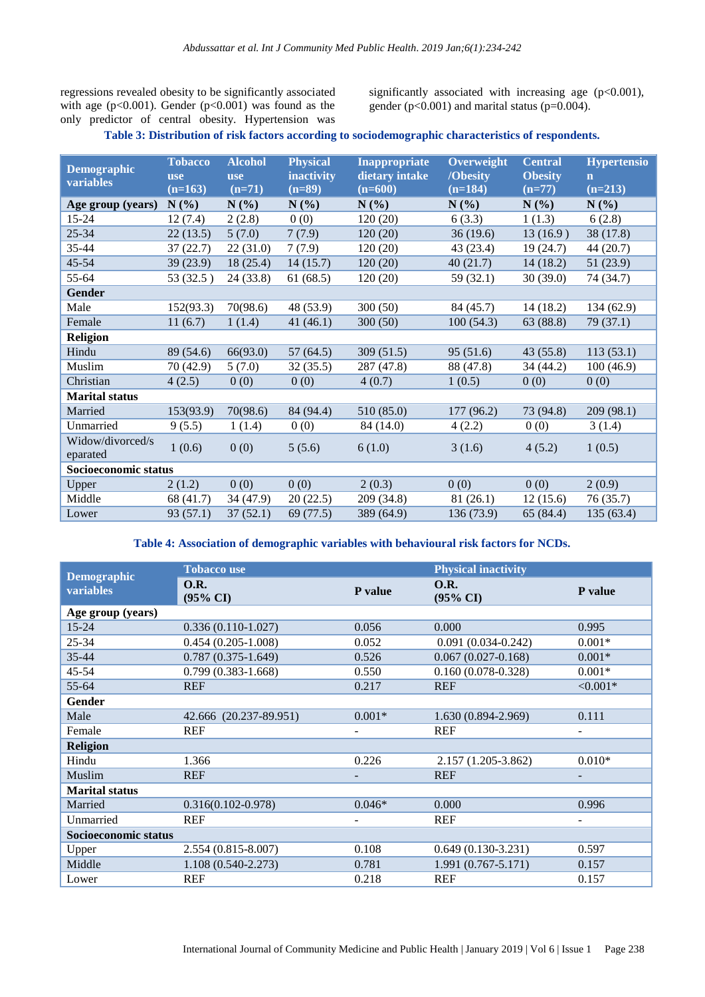regressions revealed obesity to be significantly associated with age ( $p<0.001$ ). Gender ( $p<0.001$ ) was found as the only predictor of central obesity. Hypertension was significantly associated with increasing age (p<0.001), gender (p<0.001) and marital status (p=0.004).

# **Table 3: Distribution of risk factors according to sociodemographic characteristics of respondents.**

| <b>Demographic</b><br>variables | <b>Tobacco</b><br><b>use</b><br>$(n=163)$ | <b>Alcohol</b><br><b>use</b><br>$(n=71)$ | <b>Physical</b><br>inactivity<br>$(n=89)$ | <b>Inappropriate</b><br>dietary intake<br>$(n=600)$ | Overweight<br>/Obesity<br>$(n=184)$ | Central<br><b>Obesity</b><br>$(n=77)$ | <b>Hypertensio</b><br>$\mathbf n$<br>$(n=213)$ |
|---------------------------------|-------------------------------------------|------------------------------------------|-------------------------------------------|-----------------------------------------------------|-------------------------------------|---------------------------------------|------------------------------------------------|
| Age group (years)               | N(%)                                      | $N(\%)$                                  | $N(\%)$                                   | N(%)                                                | $N(\%)$                             | $N(\%)$                               | $N(\%)$                                        |
| $15 - 24$                       | 12(7.4)                                   | 2(2.8)                                   | 0(0)                                      | 120(20)                                             | 6(3.3)                              | 1(1.3)                                | 6(2.8)                                         |
| $25 - 34$                       | 22(13.5)                                  | 5(7.0)                                   | 7(7.9)                                    | 120(20)                                             | 36(19.6)                            | 13(16.9)                              | 38 (17.8)                                      |
| 35-44                           | 37(22.7)                                  | 22(31.0)                                 | 7(7.9)                                    | 120(20)                                             | 43 (23.4)                           | 19(24.7)                              | 44 (20.7)                                      |
| $45 - 54$                       | 39(23.9)                                  | 18(25.4)                                 | 14(15.7)                                  | 120(20)                                             | 40(21.7)                            | 14(18.2)                              | 51(23.9)                                       |
| 55-64                           | 53 (32.5)                                 | 24(33.8)                                 | 61(68.5)                                  | 120(20)                                             | 59 (32.1)                           | 30(39.0)                              | 74 (34.7)                                      |
| Gender                          |                                           |                                          |                                           |                                                     |                                     |                                       |                                                |
| Male                            | 152(93.3)                                 | 70(98.6)                                 | 48 (53.9)                                 | 300(50)                                             | 84 (45.7)                           | 14(18.2)                              | 134(62.9)                                      |
| Female                          | 11(6.7)                                   | 1(1.4)                                   | 41(46.1)                                  | 300(50)                                             | 100(54.3)                           | 63 (88.8)                             | 79(37.1)                                       |
| <b>Religion</b>                 |                                           |                                          |                                           |                                                     |                                     |                                       |                                                |
| Hindu                           | 89 (54.6)                                 | 66(93.0)                                 | 57(64.5)                                  | 309(51.5)                                           | 95(51.6)                            | 43(55.8)                              | 113(53.1)                                      |
| Muslim                          | 70 (42.9)                                 | 5(7.0)                                   | 32(35.5)                                  | 287 (47.8)                                          | 88 (47.8)                           | 34 (44.2)                             | 100(46.9)                                      |
| Christian                       | 4(2.5)                                    | 0(0)                                     | 0(0)                                      | 4(0.7)                                              | 1(0.5)                              | 0(0)                                  | 0(0)                                           |
| <b>Marital status</b>           |                                           |                                          |                                           |                                                     |                                     |                                       |                                                |
| Married                         | 153(93.9)                                 | 70(98.6)                                 | 84 (94.4)                                 | 510 (85.0)                                          | 177 (96.2)                          | 73 (94.8)                             | 209 (98.1)                                     |
| Unmarried                       | 9(5.5)                                    | 1(1.4)                                   | 0(0)                                      | 84 (14.0)                                           | 4(2.2)                              | 0(0)                                  | 3(1.4)                                         |
| Widow/divorced/s<br>eparated    | 1(0.6)                                    | 0(0)                                     | 5(5.6)                                    | 6(1.0)                                              | 3(1.6)                              | 4(5.2)                                | 1(0.5)                                         |
| Socioeconomic status            |                                           |                                          |                                           |                                                     |                                     |                                       |                                                |
| Upper                           | 2(1.2)                                    | 0(0)                                     | 0(0)                                      | 2(0.3)                                              | 0(0)                                | 0(0)                                  | 2(0.9)                                         |
| Middle                          | 68 (41.7)                                 | 34 (47.9)                                | 20(22.5)                                  | 209 (34.8)                                          | 81(26.1)                            | 12(15.6)                              | 76 (35.7)                                      |
| Lower                           | 93 (57.1)                                 | 37(52.1)                                 | 69 (77.5)                                 | 389 (64.9)                                          | 136 (73.9)                          | 65(84.4)                              | 135(63.4)                                      |

**Table 4: Association of demographic variables with behavioural risk factors for NCDs.**

|                                        | <b>Tobacco use</b>          |          | <b>Physical inactivity</b>  |                          |  |
|----------------------------------------|-----------------------------|----------|-----------------------------|--------------------------|--|
| <b>Demographic</b><br><b>variables</b> | O.R.<br>$(95\% \text{ CI})$ | P value  | O.R.<br>$(95\% \text{ CI})$ | P value                  |  |
| Age group (years)                      |                             |          |                             |                          |  |
| $15 - 24$                              | $0.336(0.110-1.027)$        | 0.056    | 0.000                       | 0.995                    |  |
| $25 - 34$                              | $0.454(0.205-1.008)$        | 0.052    | $0.091(0.034 - 0.242)$      | $0.001*$                 |  |
| $35 - 44$                              | $0.787(0.375-1.649)$        | 0.526    | $0.067(0.027-0.168)$        | $0.001*$                 |  |
| $45 - 54$                              | $0.799(0.383 - 1.668)$      | 0.550    | $0.160(0.078-0.328)$        | $0.001*$                 |  |
| 55-64                                  | <b>REF</b>                  | 0.217    | <b>REF</b>                  | $< 0.001*$               |  |
| Gender                                 |                             |          |                             |                          |  |
| Male                                   | 42.666 (20.237-89.951)      | $0.001*$ | 1.630 (0.894-2.969)         | 0.111                    |  |
| Female                                 | <b>REF</b>                  |          | <b>REF</b>                  | $\overline{\phantom{a}}$ |  |
| <b>Religion</b>                        |                             |          |                             |                          |  |
| Hindu                                  | 1.366                       | 0.226    | 2.157 (1.205-3.862)         | $0.010*$                 |  |
| Muslim                                 | <b>REF</b>                  |          | <b>REF</b>                  |                          |  |
| <b>Marital</b> status                  |                             |          |                             |                          |  |
| Married                                | $0.316(0.102 - 0.978)$      | $0.046*$ | 0.000                       | 0.996                    |  |
| Unmarried                              | <b>REF</b>                  |          | <b>REF</b>                  |                          |  |
| Socioeconomic status                   |                             |          |                             |                          |  |
| Upper                                  | 2.554 (0.815-8.007)         | 0.108    | $0.649(0.130-3.231)$        | 0.597                    |  |
| Middle                                 | $1.108(0.540 - 2.273)$      | 0.781    | $1.991(0.767 - 5.171)$      | 0.157                    |  |
| Lower                                  | <b>REF</b>                  | 0.218    | <b>REF</b>                  | 0.157                    |  |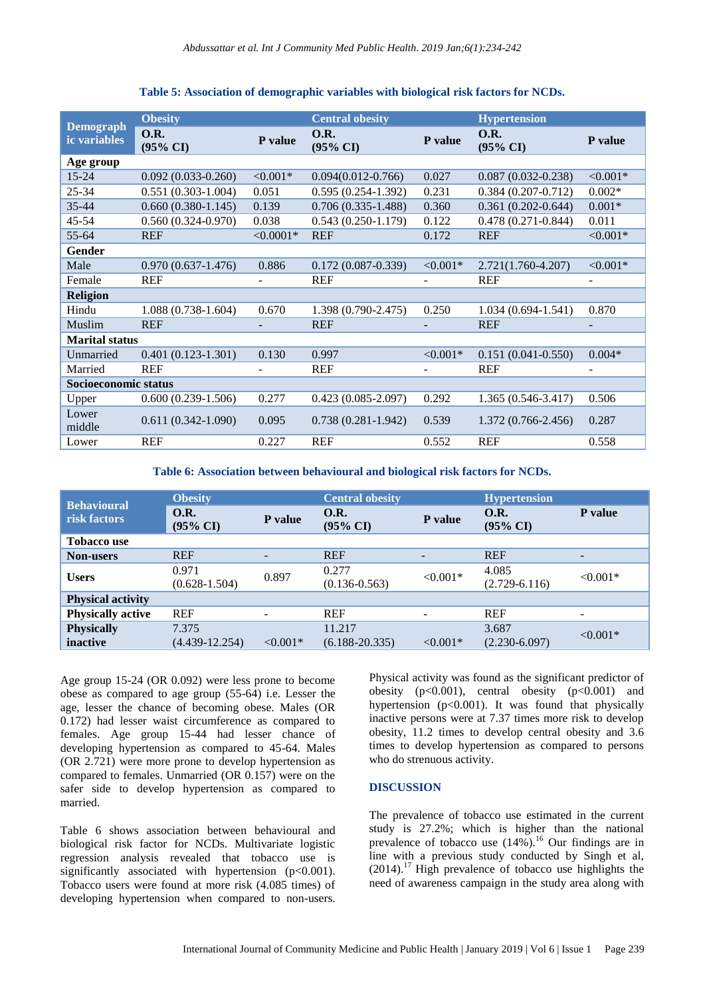|                                         | <b>Obesity</b>                     |             | <b>Central obesity</b>                |             | <b>Hypertension</b>                |            |  |
|-----------------------------------------|------------------------------------|-------------|---------------------------------------|-------------|------------------------------------|------------|--|
| <b>Demograph</b><br><i>ic</i> variables | <b>O.R.</b><br>$(95\% \text{ CI})$ | P value     | <b>O.R.</b><br>$(95\% \ \mathrm{CI})$ | P value     | <b>O.R.</b><br>$(95\% \text{ CI})$ | P value    |  |
| Age group                               |                                    |             |                                       |             |                                    |            |  |
| $15 - 24$                               | $0.092(0.033 - 0.260)$             | $< 0.001*$  | $0.094(0.012 - 0.766)$                | 0.027       | $0.087(0.032 - 0.238)$             | $< 0.001*$ |  |
| $25 - 34$                               | $0.551(0.303-1.004)$               | 0.051       | $0.595(0.254-1.392)$                  | 0.231       | $0.384(0.207 - 0.712)$             | $0.002*$   |  |
| $35 - 44$                               | $0.660(0.380-1.145)$               | 0.139       | $0.706(0.335-1.488)$                  | 0.360       | $0.361(0.202 - 0.644)$             | $0.001*$   |  |
| $45 - 54$                               | $0.560(0.324 - 0.970)$             | 0.038       | $0.543(0.250-1.179)$                  | 0.122       | $0.478(0.271 - 0.844)$             | 0.011      |  |
| $55 - 64$                               | <b>REF</b>                         | $< 0.0001*$ | <b>REF</b>                            | 0.172       | <b>REF</b>                         | $< 0.001*$ |  |
| Gender                                  |                                    |             |                                       |             |                                    |            |  |
| Male                                    | $0.970(0.637-1.476)$               | 0.886       | $0.172(0.087 - 0.339)$                | $< 0.001*$  | 2.721(1.760-4.207)                 | $< 0.001*$ |  |
| Female                                  | <b>REF</b>                         |             | <b>REF</b>                            |             | <b>REF</b>                         |            |  |
| <b>Religion</b>                         |                                    |             |                                       |             |                                    |            |  |
| Hindu                                   | $1.088(0.738-1.604)$               | 0.670       | $1.398(0.790-2.475)$                  | 0.250       | $1.034(0.694-1.541)$               | 0.870      |  |
| Muslim                                  | <b>REF</b>                         |             | <b>REF</b>                            |             | <b>REF</b>                         |            |  |
| <b>Marital status</b>                   |                                    |             |                                       |             |                                    |            |  |
| Unmarried                               | $0.401(0.123-1.301)$               | 0.130       | 0.997                                 | ${<}0.001*$ | $0.151(0.041 - 0.550)$             | $0.004*$   |  |
| Married                                 | <b>REF</b>                         |             | <b>REF</b>                            |             | <b>REF</b>                         |            |  |
| Socioeconomic status                    |                                    |             |                                       |             |                                    |            |  |
| Upper                                   | $0.600(0.239-1.506)$               | 0.277       | $0.423(0.085 - 2.097)$                | 0.292       | $1.365(0.546-3.417)$               | 0.506      |  |
| Lower<br>middle                         | $0.611(0.342 - 1.090)$             | 0.095       | $0.738(0.281-1.942)$                  | 0.539       | $1.372(0.766-2.456)$               | 0.287      |  |
| Lower                                   | <b>REF</b>                         | 0.227       | <b>REF</b>                            | 0.552       | <b>REF</b>                         | 0.558      |  |

# **Table 5: Association of demographic variables with biological risk factors for NCDs.**

**Table 6: Association between behavioural and biological risk factors for NCDs.**

| <b>Behavioural</b>            | <b>Obesity</b>              |            | <b>Central obesity</b>             |            | <b>Hypertension</b>                |                          |
|-------------------------------|-----------------------------|------------|------------------------------------|------------|------------------------------------|--------------------------|
| risk factors                  | O.R.<br>$(95\% \text{ CI})$ | P value    | <b>O.R.</b><br>$(95\% \text{ CI})$ | P value    | <b>O.R.</b><br>$(95\% \text{ CI})$ | <b>P</b> value           |
| <b>Tobacco use</b>            |                             |            |                                    |            |                                    |                          |
| <b>Non-users</b>              | <b>REF</b>                  | -          | <b>REF</b>                         | -          | <b>REF</b>                         | $\overline{\phantom{a}}$ |
| <b>Users</b>                  | 0.971<br>$(0.628 - 1.504)$  | 0.897      | 0.277<br>$(0.136 - 0.563)$         | $< 0.001*$ | 4.085<br>$(2.729 - 6.116)$         | $< 0.001*$               |
| <b>Physical activity</b>      |                             |            |                                    |            |                                    |                          |
| <b>Physically active</b>      | <b>REF</b>                  |            | <b>REF</b>                         |            | <b>REF</b>                         |                          |
| <b>Physically</b><br>inactive | 7.375<br>$(4.439 - 12.254)$ | $< 0.001*$ | 11.217<br>$(6.188 - 20.335)$       | $< 0.001*$ | 3.687<br>$(2.230 - 6.097)$         | $< 0.001*$               |

Age group 15-24 (OR 0.092) were less prone to become obese as compared to age group (55-64) i.e. Lesser the age, lesser the chance of becoming obese. Males (OR 0.172) had lesser waist circumference as compared to females. Age group 15-44 had lesser chance of developing hypertension as compared to 45-64. Males (OR 2.721) were more prone to develop hypertension as compared to females. Unmarried (OR 0.157) were on the safer side to develop hypertension as compared to married.

Table 6 shows association between behavioural and biological risk factor for NCDs. Multivariate logistic regression analysis revealed that tobacco use is significantly associated with hypertension (p<0.001). Tobacco users were found at more risk (4.085 times) of developing hypertension when compared to non-users. Physical activity was found as the significant predictor of obesity  $(p<0.001)$ , central obesity  $(p<0.001)$  and hypertension (p<0.001). It was found that physically inactive persons were at 7.37 times more risk to develop obesity, 11.2 times to develop central obesity and 3.6 times to develop hypertension as compared to persons who do strenuous activity.

# **DISCUSSION**

The prevalence of tobacco use estimated in the current study is 27.2%; which is higher than the national prevalence of tobacco use  $(14\%)$ .<sup>16</sup> Our findings are in line with a previous study conducted by Singh et al,  $(2014).$ <sup>17</sup> High prevalence of tobacco use highlights the need of awareness campaign in the study area along with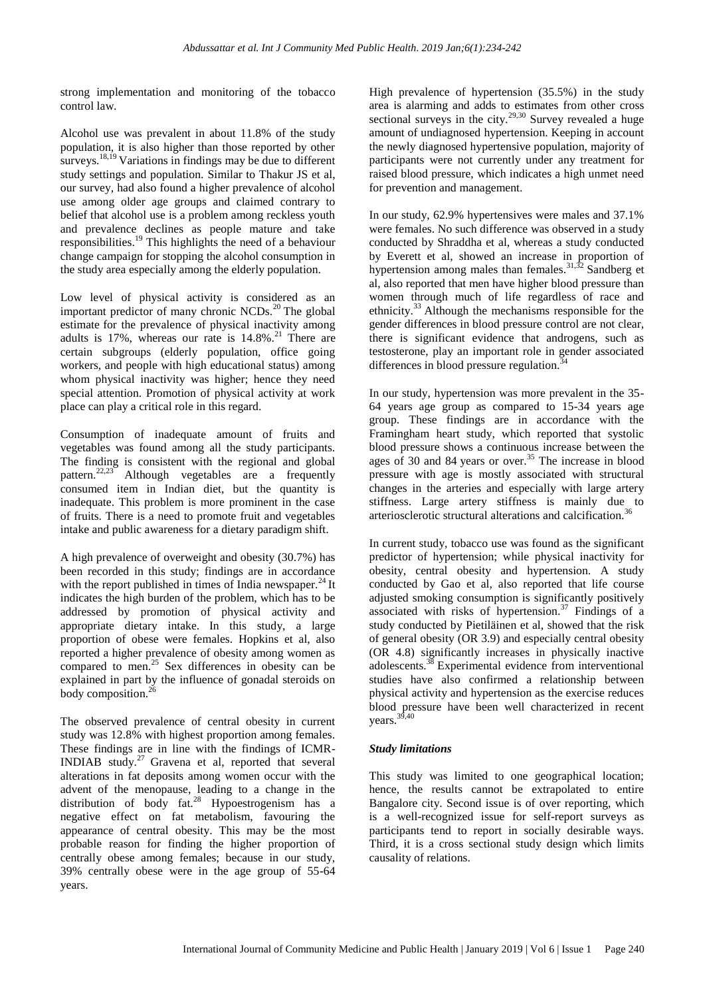strong implementation and monitoring of the tobacco control law.

Alcohol use was prevalent in about 11.8% of the study population, it is also higher than those reported by other surveys.<sup>18,19</sup> Variations in findings may be due to different study settings and population. Similar to Thakur JS et al, our survey, had also found a higher prevalence of alcohol use among older age groups and claimed contrary to belief that alcohol use is a problem among reckless youth and prevalence declines as people mature and take responsibilities.<sup>19</sup> This highlights the need of a behaviour change campaign for stopping the alcohol consumption in the study area especially among the elderly population.

Low level of physical activity is considered as an important predictor of many chronic  $NCDs<sup>20</sup>$ . The global estimate for the prevalence of physical inactivity among adults is  $17\%$ , whereas our rate is  $14.8\%$ <sup>21</sup> There are certain subgroups (elderly population, office going workers, and people with high educational status) among whom physical inactivity was higher; hence they need special attention. Promotion of physical activity at work place can play a critical role in this regard.

Consumption of inadequate amount of fruits and vegetables was found among all the study participants. The finding is consistent with the regional and global pattern.<sup>22,23</sup> Although vegetables are a frequently consumed item in Indian diet, but the quantity is inadequate. This problem is more prominent in the case of fruits. There is a need to promote fruit and vegetables intake and public awareness for a dietary paradigm shift.

A high prevalence of overweight and obesity (30.7%) has been recorded in this study; findings are in accordance with the report published in times of India newspaper. $^{24}$  It indicates the high burden of the problem, which has to be addressed by promotion of physical activity and appropriate dietary intake. In this study, a large proportion of obese were females. Hopkins et al, also reported a higher prevalence of obesity among women as compared to men.<sup>25</sup> Sex differences in obesity can be explained in part by the influence of gonadal steroids on body composition.<sup>26</sup>

The observed prevalence of central obesity in current study was 12.8% with highest proportion among females. These findings are in line with the findings of ICMR-INDIAB study.<sup>27</sup> Gravena et al, reported that several alterations in fat deposits among women occur with the advent of the menopause, leading to a change in the distribution of body fat.<sup>28</sup> Hypoestrogenism has a negative effect on fat metabolism, favouring the appearance of central obesity. This may be the most probable reason for finding the higher proportion of centrally obese among females; because in our study, 39% centrally obese were in the age group of 55-64 years.

High prevalence of hypertension (35.5%) in the study area is alarming and adds to estimates from other cross sectional surveys in the city.<sup>29,30</sup> Survey revealed a huge amount of undiagnosed hypertension. Keeping in account the newly diagnosed hypertensive population, majority of participants were not currently under any treatment for raised blood pressure, which indicates a high unmet need for prevention and management.

In our study, 62.9% hypertensives were males and 37.1% were females. No such difference was observed in a study conducted by Shraddha et al, whereas a study conducted by Everett et al, showed an increase in proportion of hypertension among males than females.<sup>31,32</sup> Sandberg et al, also reported that men have higher blood pressure than women through much of life regardless of race and ethnicity.<sup>33</sup> Although the mechanisms responsible for the gender differences in blood pressure control are not clear, there is significant evidence that androgens, such as testosterone, play an important role in gender associated differences in blood pressure regulation.<sup>3</sup>

In our study, hypertension was more prevalent in the 35- 64 years age group as compared to 15-34 years age group. These findings are in accordance with the Framingham heart study, which reported that systolic blood pressure shows a continuous increase between the ages of 30 and 84 years or over.<sup>35</sup> The increase in blood pressure with age is mostly associated with structural changes in the arteries and especially with large artery stiffness. Large artery stiffness is mainly due to arteriosclerotic structural alterations and calcification.<sup>3</sup>

In current study, tobacco use was found as the significant predictor of hypertension; while physical inactivity for obesity, central obesity and hypertension. A study conducted by Gao et al, also reported that life course adjusted smoking consumption is significantly positively associated with risks of hypertension.<sup>37</sup> Findings of a study conducted by Pietiläinen et al, showed that the risk of general obesity (OR 3.9) and especially central obesity (OR 4.8) significantly increases in physically inactive adolescents.<sup>38</sup> Experimental evidence from interventional studies have also confirmed a relationship between physical activity and hypertension as the exercise reduces blood pressure have been well characterized in recent vears.  $39,40$ 

# *Study limitations*

This study was limited to one geographical location; hence, the results cannot be extrapolated to entire Bangalore city. Second issue is of over reporting, which is a well-recognized issue for self-report surveys as participants tend to report in socially desirable ways. Third, it is a cross sectional study design which limits causality of relations.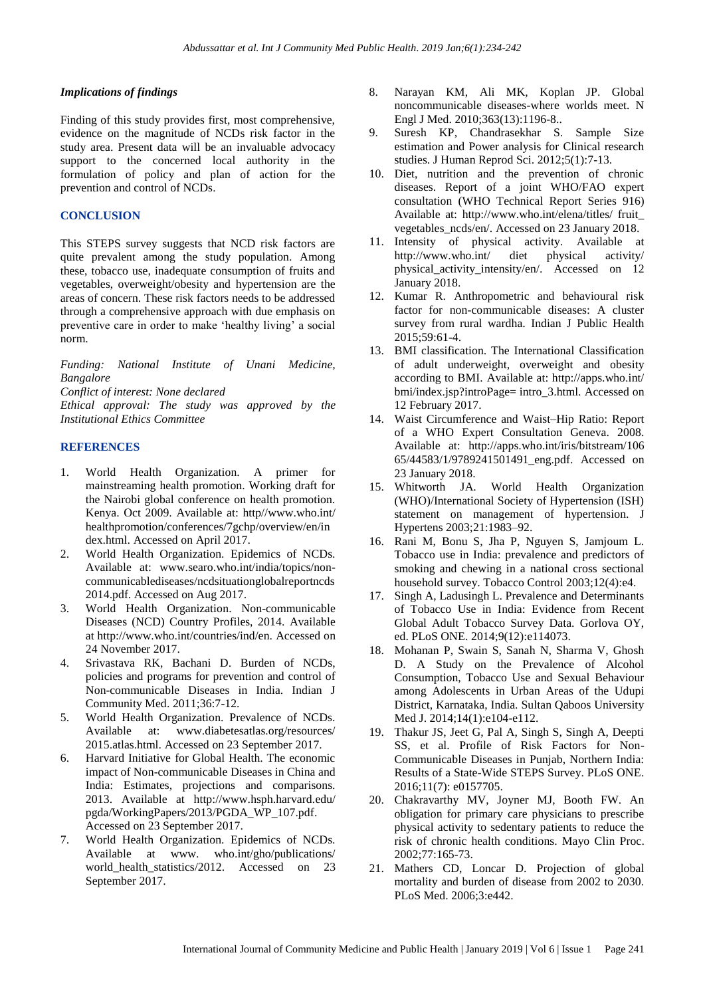# *Implications of findings*

Finding of this study provides first, most comprehensive, evidence on the magnitude of NCDs risk factor in the study area. Present data will be an invaluable advocacy support to the concerned local authority in the formulation of policy and plan of action for the prevention and control of NCDs.

# **CONCLUSION**

This STEPS survey suggests that NCD risk factors are quite prevalent among the study population. Among these, tobacco use, inadequate consumption of fruits and vegetables, overweight/obesity and hypertension are the areas of concern. These risk factors needs to be addressed through a comprehensive approach with due emphasis on preventive care in order to make "healthy living" a social norm.

*Funding: National Institute of Unani Medicine, Bangalore*

*Conflict of interest: None declared*

*Ethical approval: The study was approved by the Institutional Ethics Committee*

# **REFERENCES**

- 1. World Health Organization. A primer for mainstreaming health promotion. Working draft for the Nairobi global conference on health promotion. Kenya. Oct 2009. Available at: http//www.who.int/ healthpromotion/conferences/7gchp/overview/en/in dex.html. Accessed on April 2017.
- 2. World Health Organization. Epidemics of NCDs. Available at: www.searo.who.int/india/topics/noncommunicablediseases/ncdsituationglobalreportncds 2014.pdf. Accessed on Aug 2017.
- 3. World Health Organization. Non-communicable Diseases (NCD) Country Profiles, 2014. Available at http://www.who.int/countries/ind/en. Accessed on 24 November 2017.
- 4. Srivastava RK, Bachani D. Burden of NCDs, policies and programs for prevention and control of Non-communicable Diseases in India. Indian J Community Med. 2011;36:7-12.
- 5. World Health Organization. Prevalence of NCDs. Available at: www.diabetesatlas.org/resources/ 2015.atlas.html. Accessed on 23 September 2017.
- 6. Harvard Initiative for Global Health. The economic impact of Non-communicable Diseases in China and India: Estimates, projections and comparisons. 2013. Available at http://www.hsph.harvard.edu/ pgda/WorkingPapers/2013/PGDA\_WP\_107.pdf. Accessed on 23 September 2017.
- 7. World Health Organization. Epidemics of NCDs. Available at www. who.int/gho/publications/ world health statistics/2012. Accessed on 23 September 2017.
- 8. Narayan KM, Ali MK, Koplan JP. Global noncommunicable diseases-where worlds meet. N Engl J Med. 2010;363(13):1196-8..
- 9. Suresh KP, Chandrasekhar S. Sample Size estimation and Power analysis for Clinical research studies. J Human Reprod Sci. 2012;5(1):7-13.
- 10. Diet, nutrition and the prevention of chronic diseases. Report of a joint WHO/FAO expert consultation (WHO Technical Report Series 916) Available at: http://www.who.int/elena/titles/ fruit\_ vegetables\_ncds/en/. Accessed on 23 January 2018.
- 11. Intensity of physical activity. Available at http://www.who.int/ diet physical activity/ physical\_activity\_intensity/en/. Accessed on 12 January 2018.
- 12. Kumar R. Anthropometric and behavioural risk factor for non-communicable diseases: A cluster survey from rural wardha. Indian J Public Health 2015;59:61-4.
- 13. BMI classification. The International Classification of adult underweight, overweight and obesity according to BMI. Available at: http://apps.who.int/ bmi/index.jsp?introPage= intro\_3.html. Accessed on 12 February 2017.
- 14. Waist Circumference and Waist–Hip Ratio: Report of a WHO Expert Consultation Geneva. 2008. Available at: http://apps.who.int/iris/bitstream/106 65/44583/1/9789241501491\_eng.pdf. Accessed on 23 January 2018.
- 15. Whitworth JA. World Health Organization (WHO)/International Society of Hypertension (ISH) statement on management of hypertension. J Hypertens 2003;21:1983–92.
- 16. Rani M, Bonu S, Jha P, Nguyen S, Jamjoum L. Tobacco use in India: prevalence and predictors of smoking and chewing in a national cross sectional household survey. Tobacco Control 2003;12(4):e4.
- 17. Singh A, Ladusingh L. Prevalence and Determinants of Tobacco Use in India: Evidence from Recent Global Adult Tobacco Survey Data. Gorlova OY, ed. PLoS ONE. 2014;9(12):e114073.
- 18. Mohanan P, Swain S, Sanah N, Sharma V, Ghosh D. A Study on the Prevalence of Alcohol Consumption, Tobacco Use and Sexual Behaviour among Adolescents in Urban Areas of the Udupi District, Karnataka, India. Sultan Qaboos University Med J. 2014;14(1):e104-e112.
- 19. Thakur JS, Jeet G, Pal A, Singh S, Singh A, Deepti SS, et al. Profile of Risk Factors for Non-Communicable Diseases in Punjab, Northern India: Results of a State-Wide STEPS Survey. PLoS ONE. 2016;11(7): e0157705.
- 20. Chakravarthy MV, Joyner MJ, Booth FW. An obligation for primary care physicians to prescribe physical activity to sedentary patients to reduce the risk of chronic health conditions. Mayo Clin Proc. 2002;77:165-73.
- 21. Mathers CD, Loncar D. Projection of global mortality and burden of disease from 2002 to 2030. PLoS Med. 2006;3:e442.